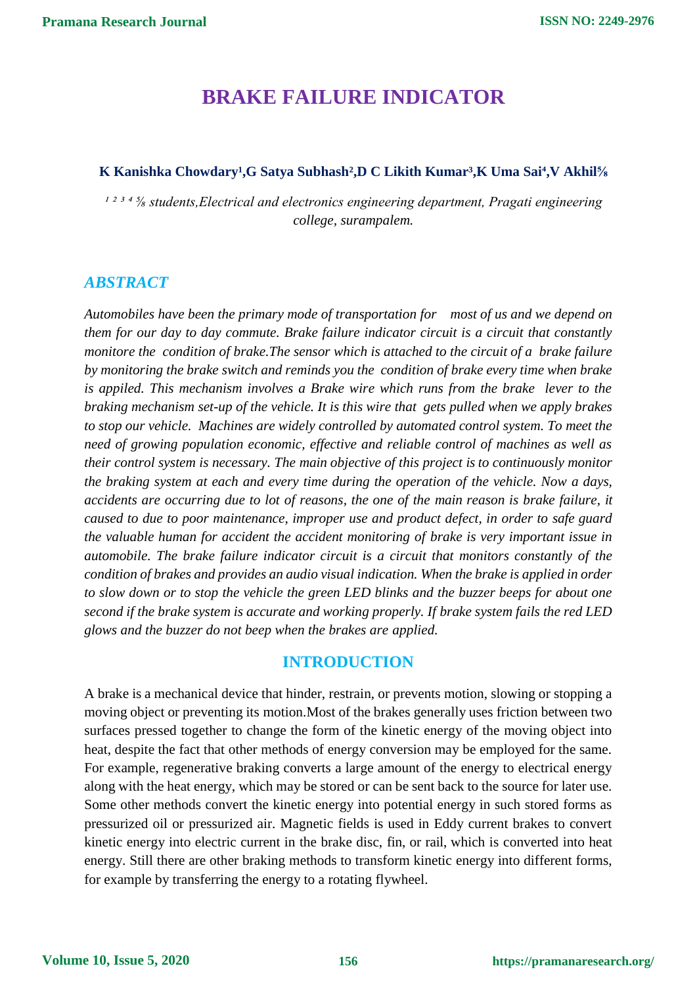# **BRAKE FAILURE INDICATOR**

### K Kanishka Chowdary<sup>1</sup>,G Satya Subhash<sup>2</sup>,D C Likith Kumar<sup>3</sup>,K Uma Sai<sup>4</sup>,V Akhil<sup>5</sup>/<sub>8</sub>

<sup>1234</sup>/<sub>8</sub> students, Electrical and electronics engineering department, Pragati engineering *college, surampalem.*

# *ABSTRACT*

*Automobiles have been the primary mode of transportation for most of us and we depend on them for our day to day commute. Brake failure indicator circuit is a circuit that constantly monitore the condition of brake.The sensor which is attached to the circuit of a brake failure by monitoring the brake switch and reminds you the condition of brake every time when brake is appiled. This mechanism involves a Brake wire which runs from the brake lever to the braking mechanism set-up of the vehicle. It is this wire that gets pulled when we apply brakes to stop our vehicle. Machines are widely controlled by automated control system. To meet the need of growing population economic, effective and reliable control of machines as well as their control system is necessary. The main objective of this project is to continuously monitor the braking system at each and every time during the operation of the vehicle. Now a days, accidents are occurring due to lot of reasons, the one of the main reason is brake failure, it caused to due to poor maintenance, improper use and product defect, in order to safe guard the valuable human for accident the accident monitoring of brake is very important issue in automobile. The brake failure indicator circuit is a circuit that monitors constantly of the condition of brakes and provides an audio visual indication. When the brake is applied in order to slow down or to stop the vehicle the green LED blinks and the buzzer beeps for about one second if the brake system is accurate and working properly. If brake system fails the red LED glows and the buzzer do not beep when the brakes are applied.*

# **INTRODUCTION**

A brake is a mechanical device that hinder, restrain, or prevents motion, slowing or stopping a moving object or preventing its motion.Most of the brakes generally uses friction between two surfaces pressed together to change the form of the kinetic energy of the moving object into heat, despite the fact that other methods of energy conversion may be employed for the same. For example, regenerative braking converts a large amount of the energy to electrical energy along with the heat energy, which may be stored or can be sent back to the source for later use. Some other methods convert the kinetic energy into potential energy in such stored forms as pressurized oil or pressurized air. Magnetic fields is used in Eddy current brakes to convert kinetic energy into electric current in the brake disc, fin, or rail, which is converted into heat energy. Still there are other braking methods to transform kinetic energy into different forms, for example by transferring the energy to a rotating flywheel.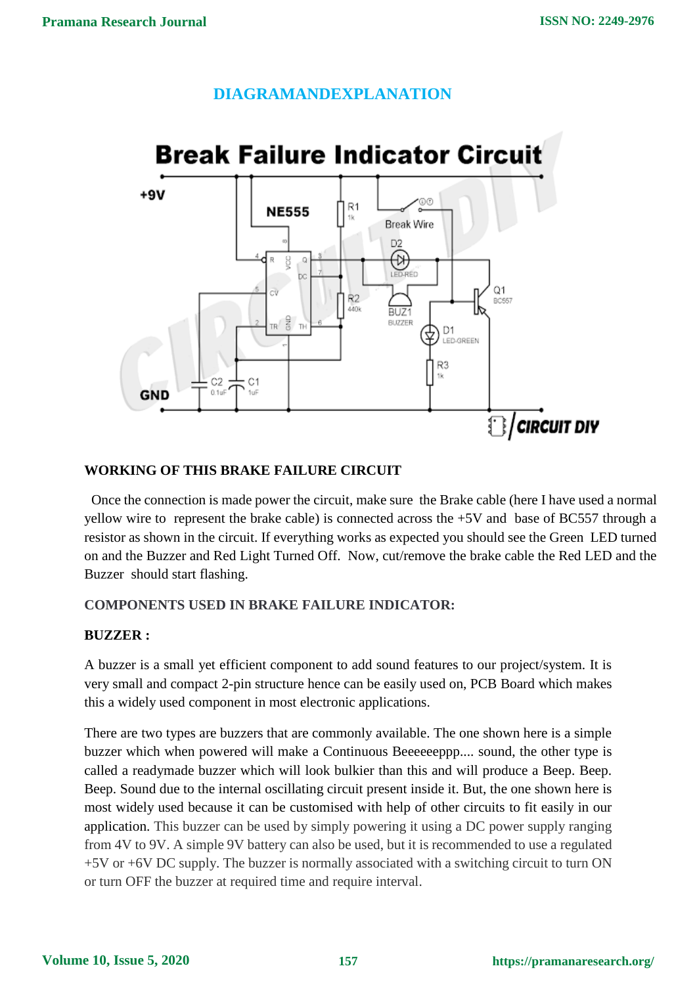# **DIAGRAMANDEXPLANATION**



### **WORKING OF THIS BRAKE FAILURE CIRCUIT**

Once the connection is made power the circuit, make sure the Brake cable (here I have used a normal yellow wire to represent the brake cable) is connected across the +5V and base of BC557 through a resistor as shown in the circuit. If everything works as expected you should see the Green LED turned on and the Buzzer and Red Light Turned Off. Now, cut/remove the brake cable the Red LED and the Buzzer should start flashing.

### **COMPONENTS USED IN BRAKE FAILURE INDICATOR:**

# **BUZZER :**

A buzzer is a small yet efficient component to add sound features to our project/system. It is very small and compact 2-pin structure hence can be easily used on, PCB Board which makes this a widely used component in most electronic applications.

There are two types are buzzers that are commonly available. The one shown here is a simple buzzer which when powered will make a Continuous Beeeeeeppp.... sound, the other type is called a readymade buzzer which will look bulkier than this and will produce a Beep. Beep. Beep. Sound due to the internal oscillating circuit present inside it. But, the one shown here is most widely used because it can be customised with help of other circuits to fit easily in our application. This buzzer can be used by simply powering it using a DC power supply ranging from 4V to 9V. A simple 9V battery can also be used, but it is recommended to use a regulated +5V or +6V DC supply. The buzzer is normally associated with a switching circuit to turn ON or turn OFF the buzzer at required time and require interval.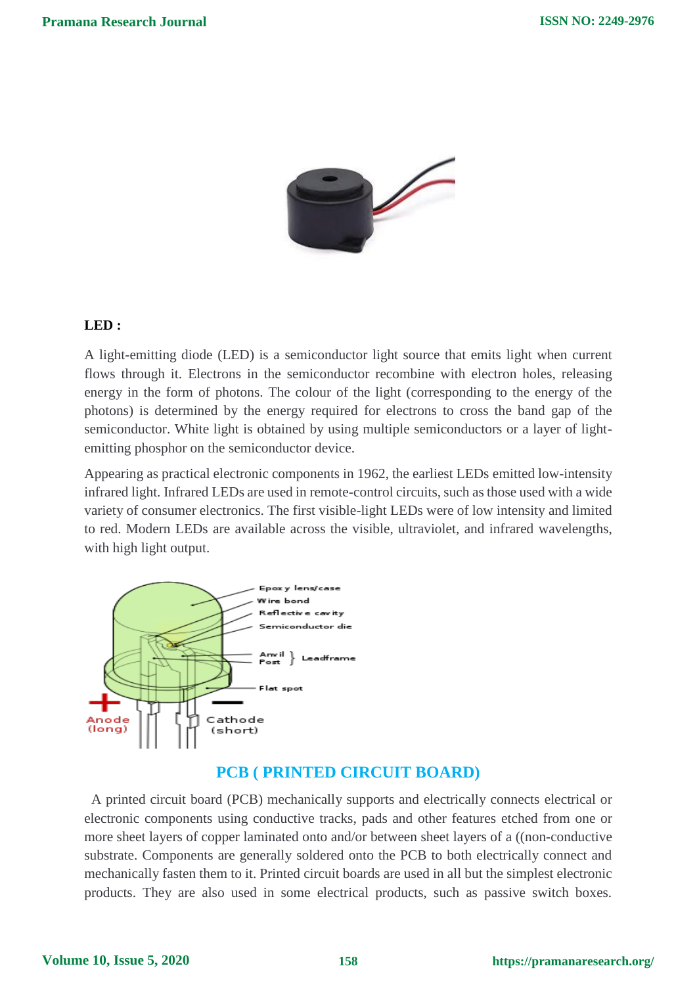

### **LED :**

A light-emitting diode (LED) is a semiconductor light source that emits light when current flows through it. Electrons in the semiconductor recombine with electron holes, releasing energy in the form of photons. The colour of the light (corresponding to the energy of the photons) is determined by the energy required for electrons to cross the band gap of the semiconductor. White light is obtained by using multiple semiconductors or a layer of lightemitting phosphor on the semiconductor device.

Appearing as practical electronic components in 1962, the earliest LEDs emitted low-intensity infrared light. Infrared LEDs are used in remote-control circuits, such as those used with a wide variety of consumer electronics. The first visible-light LEDs were of low intensity and limited to red. Modern LEDs are available across the visible, ultraviolet, and infrared wavelengths, with high light output.



### **PCB ( PRINTED CIRCUIT BOARD)**

A printed circuit board (PCB) mechanically supports and electrically connects electrical or electronic components using conductive tracks, pads and other features etched from one or more sheet layers of copper laminated onto and/or between sheet layers of a ((non-conductive substrate. Components are generally soldered onto the PCB to both electrically connect and mechanically fasten them to it. Printed circuit boards are used in all but the simplest electronic products. They are also used in some electrical products, such as passive switch boxes.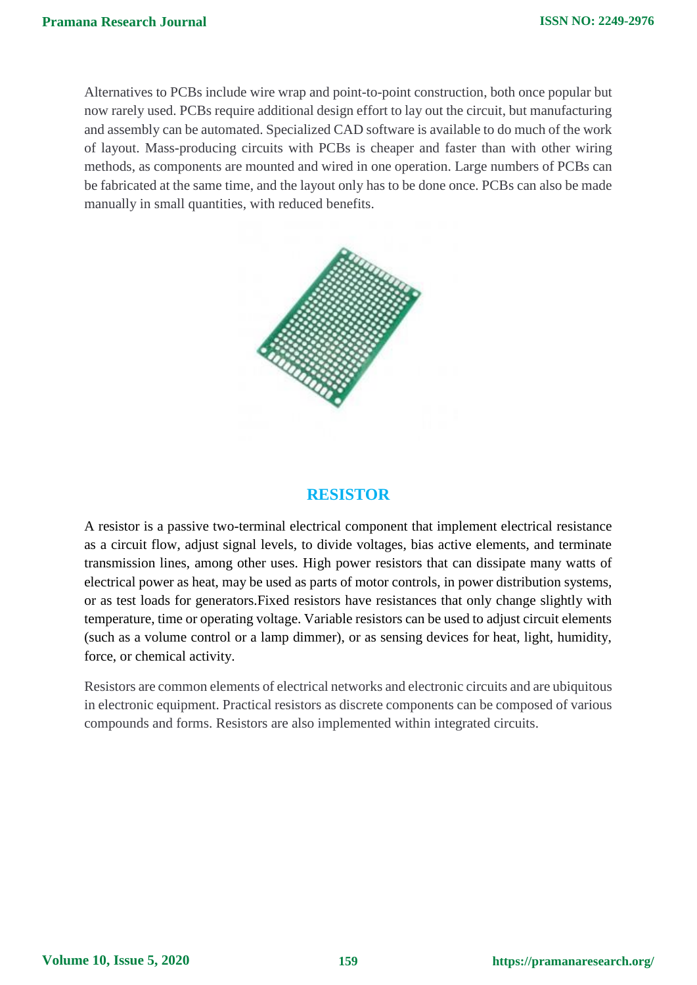Alternatives to PCBs include wire wrap and point-to-point construction, both once popular but now rarely used. PCBs require additional design effort to lay out the circuit, but manufacturing and assembly can be automated. Specialized CAD software is available to do much of the work of layout. Mass-producing circuits with PCBs is cheaper and faster than with other wiring methods, as components are mounted and wired in one operation. Large numbers of PCBs can be fabricated at the same time, and the layout only has to be done once. PCBs can also be made manually in small quantities, with reduced benefits.



# **RESISTOR**

A resistor is a passive two-terminal electrical component that implement electrical resistance as a circuit flow, adjust signal levels, to divide voltages, bias active elements, and terminate transmission lines, among other uses. High power resistors that can dissipate many watts of electrical power as heat, may be used as parts of motor controls, in power distribution systems, or as test loads for generators.Fixed resistors have resistances that only change slightly with temperature, time or operating voltage. Variable resistors can be used to adjust circuit elements (such as a volume control or a lamp dimmer), or as sensing devices for heat, light, humidity, force, or chemical activity.

Resistors are common elements of electrical networks and electronic circuits and are ubiquitous in electronic equipment. Practical resistors as discrete components can be composed of various compounds and forms. Resistors are also implemented within integrated circuits.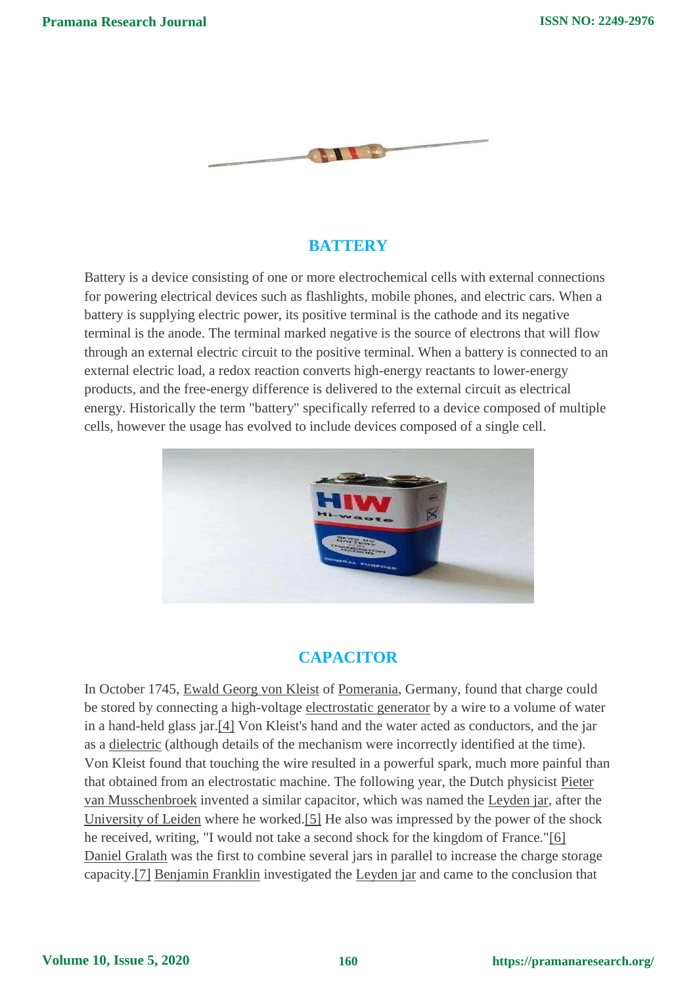

# **BATTERY**

Battery is a device consisting of one or more electrochemical cells with external connections for powering electrical devices such as flashlights, mobile phones, and electric cars. When a battery is supplying electric power, its positive terminal is the cathode and its negative terminal is the anode. The terminal marked negative is the source of electrons that will flow through an external electric circuit to the positive terminal. When a battery is connected to an external electric load, a redox reaction converts high-energy reactants to lower-energy products, and the free-energy difference is delivered to the external circuit as electrical energy. Historically the term "battery" specifically referred to a device composed of multiple cells, however the usage has evolved to include devices composed of a single cell.



# **CAPACITOR**

In October 1745, Ewald Georg von Kleist of Pomerania, Germany, found that charge could be stored by connecting a high-voltage electrostatic generator by a wire to a volume of water in a hand-held glass jar.[4] Von Kleist's hand and the water acted as conductors, and the jar as a dielectric (although details of the mechanism were incorrectly identified at the time). Von Kleist found that touching the wire resulted in a powerful spark, much more painful than that obtained from an electrostatic machine. The following year, the Dutch physicist Pieter van Musschenbroek invented a similar capacitor, which was named the Leyden jar, after the University of Leiden where he worked.[5] He also was impressed by the power of the shock he received, writing, "I would not take a second shock for the kingdom of France."[6] Daniel Gralath was the first to combine several jars in parallel to increase the charge storage capacity.[7] Benjamin Franklin investigated the Leyden jar and came to the conclusion that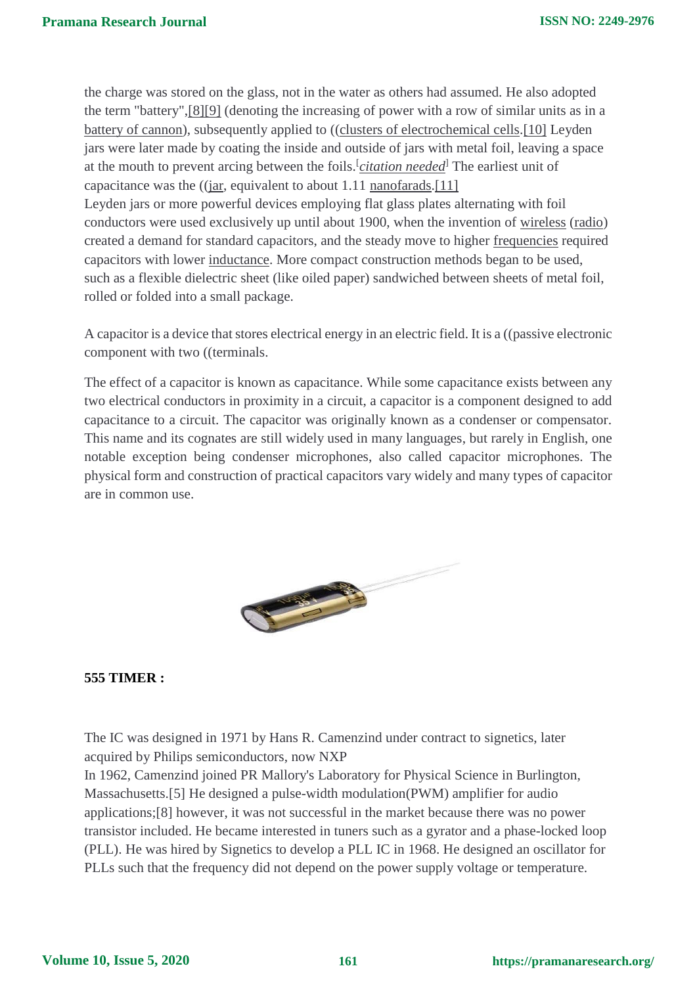the charge was stored on the glass, not in the water as others had assumed. He also adopted the term "battery",[8][9] (denoting the increasing of power with a row of similar units as in a battery of cannon), subsequently applied to ((clusters of electrochemical cells.[10] Leyden jars were later made by coating the inside and outside of jars with metal foil, leaving a space at the mouth to prevent arcing between the foils.<sup>[</sup>*citation needed*<sup>]</sup> The earliest unit of capacitance was the  $((jar, equivalent to about 1.11 nanofarads. [11])$ Leyden jars or more powerful devices employing flat glass plates alternating with foil conductors were used exclusively up until about 1900, when the invention of wireless (radio) created a demand for standard capacitors, and the steady move to higher frequencies required capacitors with lower inductance. More compact construction methods began to be used, such as a flexible dielectric sheet (like oiled paper) sandwiched between sheets of metal foil, rolled or folded into a small package.

A capacitor is a device that stores electrical energy in an electric field. It is a ((passive electronic component with two ((terminals.

The effect of a capacitor is known as capacitance. While some capacitance exists between any two electrical conductors in proximity in a circuit, a capacitor is a component designed to add capacitance to a circuit. The capacitor was originally known as a condenser or compensator. This name and its cognates are still widely used in many languages, but rarely in English, one notable exception being condenser microphones, also called capacitor microphones. The physical form and construction of practical capacitors vary widely and many types of capacitor are in common use.



#### **555 TIMER :**

The IC was designed in 1971 by Hans R. Camenzind under contract to signetics, later acquired by Philips semiconductors, now NXP

In 1962, Camenzind joined PR Mallory's Laboratory for Physical Science in Burlington, Massachusetts.[5] He designed a pulse-width modulation(PWM) amplifier for audio applications;[8] however, it was not successful in the market because there was no power transistor included. He became interested in tuners such as a gyrator and a phase-locked loop (PLL). He was hired by Signetics to develop a PLL IC in 1968. He designed an oscillator for PLLs such that the frequency did not depend on the power supply voltage or temperature.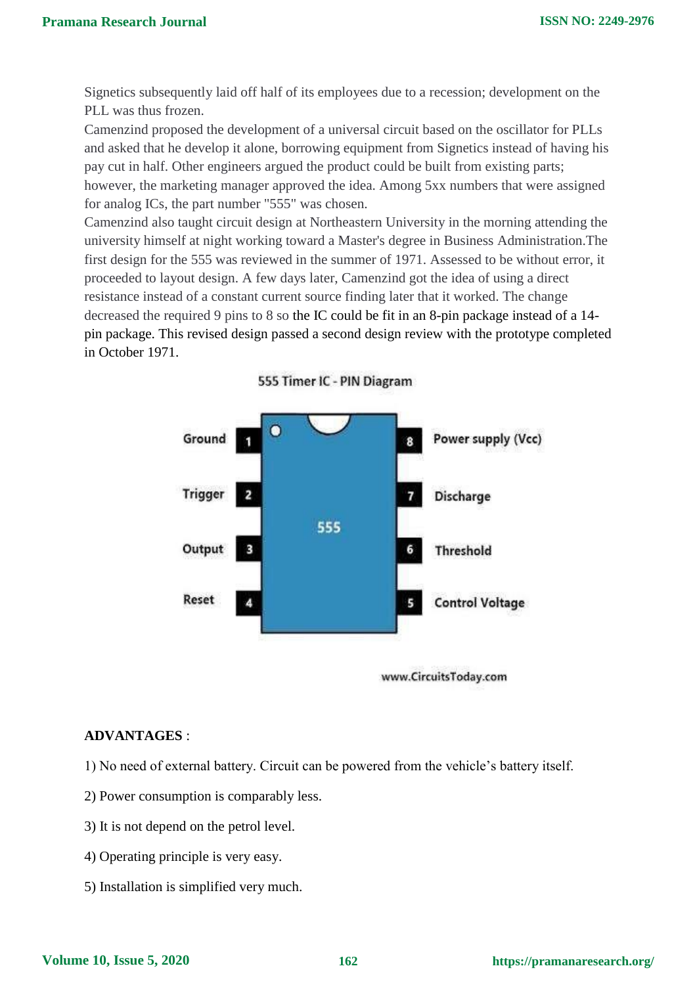Signetics subsequently laid off half of its employees due to a recession; development on the PLL was thus frozen.

Camenzind proposed the development of a universal circuit based on the oscillator for PLLs and asked that he develop it alone, borrowing equipment from Signetics instead of having his pay cut in half. Other engineers argued the product could be built from existing parts; however, the marketing manager approved the idea. Among 5xx numbers that were assigned for analog ICs, the part number "555" was chosen.

Camenzind also taught circuit design at Northeastern University in the morning attending the university himself at night working toward a Master's degree in Business Administration.The first design for the 555 was reviewed in the summer of 1971. Assessed to be without error, it proceeded to layout design. A few days later, Camenzind got the idea of using a direct resistance instead of a constant current source finding later that it worked. The change decreased the required 9 pins to 8 so the IC could be fit in an 8-pin package instead of a 14 pin package. This revised design passed a second design review with the prototype completed in October 1971.



555 Timer IC - PIN Diagram

#### www.CircuitsToday.com

#### **ADVANTAGES** :

- 1) No need of external battery. Circuit can be powered from the vehicle's battery itself.
- 2) Power consumption is comparably less.
- 3) It is not depend on the petrol level.
- 4) Operating principle is very easy.
- 5) Installation is simplified very much.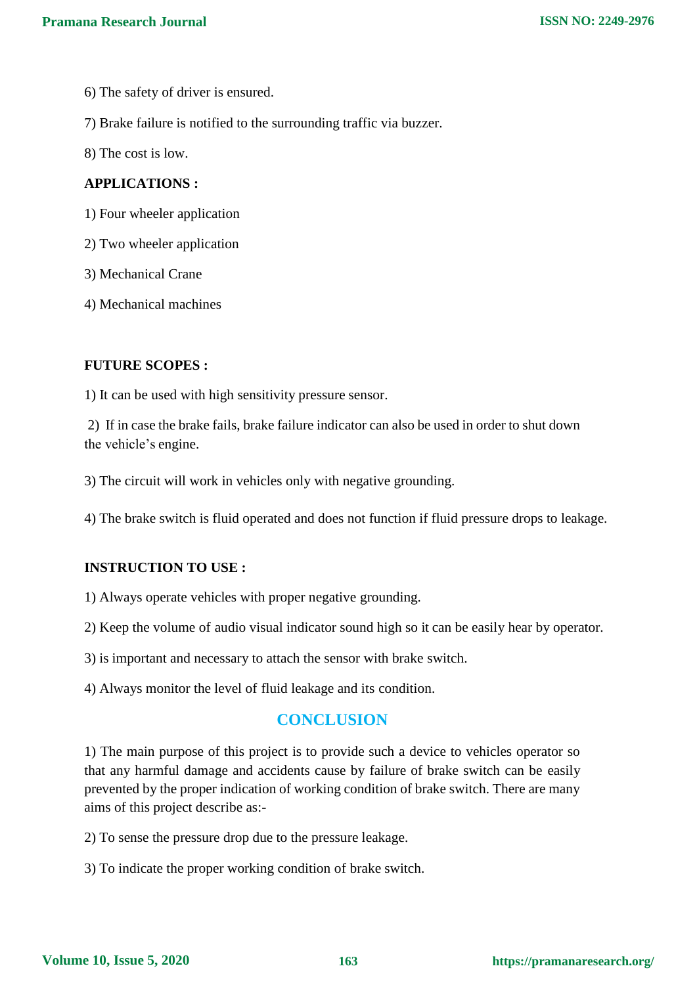- 6) The safety of driver is ensured.
- 7) Brake failure is notified to the surrounding traffic via buzzer.
- 8) The cost is low.

#### **APPLICATIONS :**

- 1) Four wheeler application
- 2) Two wheeler application
- 3) Mechanical Crane
- 4) Mechanical machines

# **FUTURE SCOPES :**

1) It can be used with high sensitivity pressure sensor.

2) If in case the brake fails, brake failure indicator can also be used in order to shut down the vehicle's engine.

3) The circuit will work in vehicles only with negative grounding.

4) The brake switch is fluid operated and does not function if fluid pressure drops to leakage.

### **INSTRUCTION TO USE :**

1) Always operate vehicles with proper negative grounding.

2) Keep the volume of audio visual indicator sound high so it can be easily hear by operator.

3) is important and necessary to attach the sensor with brake switch.

4) Always monitor the level of fluid leakage and its condition.

# **CONCLUSION**

1) The main purpose of this project is to provide such a device to vehicles operator so that any harmful damage and accidents cause by failure of brake switch can be easily prevented by the proper indication of working condition of brake switch. There are many aims of this project describe as:-

2) To sense the pressure drop due to the pressure leakage.

3) To indicate the proper working condition of brake switch.